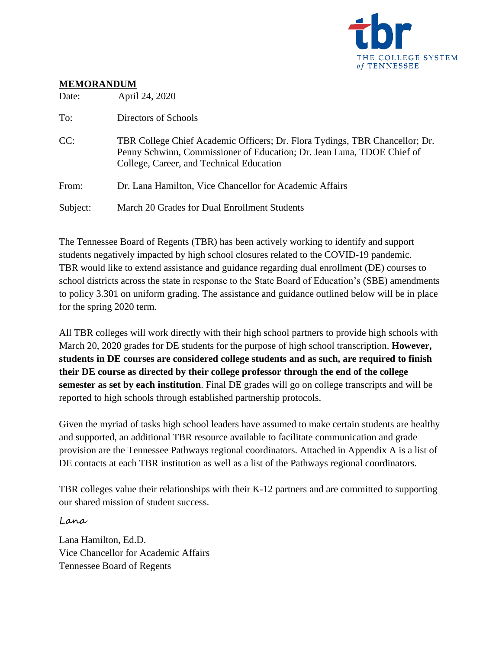

### **MEMORANDUM**

| Date:    | April 24, 2020                                                                                                                                                                                    |  |
|----------|---------------------------------------------------------------------------------------------------------------------------------------------------------------------------------------------------|--|
| To:      | Directors of Schools                                                                                                                                                                              |  |
| CC:      | TBR College Chief Academic Officers; Dr. Flora Tydings, TBR Chancellor; Dr.<br>Penny Schwinn, Commissioner of Education; Dr. Jean Luna, TDOE Chief of<br>College, Career, and Technical Education |  |
| From:    | Dr. Lana Hamilton, Vice Chancellor for Academic Affairs                                                                                                                                           |  |
| Subject: | March 20 Grades for Dual Enrollment Students                                                                                                                                                      |  |

The Tennessee Board of Regents (TBR) has been actively working to identify and support students negatively impacted by high school closures related to the COVID-19 pandemic. TBR would like to extend assistance and guidance regarding dual enrollment (DE) courses to school districts across the state in response to the State Board of Education's (SBE) amendments to policy 3.301 on uniform grading. The assistance and guidance outlined below will be in place for the spring 2020 term.

All TBR colleges will work directly with their high school partners to provide high schools with March 20, 2020 grades for DE students for the purpose of high school transcription. **However, students in DE courses are considered college students and as such, are required to finish their DE course as directed by their college professor through the end of the college semester as set by each institution**. Final DE grades will go on college transcripts and will be reported to high schools through established partnership protocols.

Given the myriad of tasks high school leaders have assumed to make certain students are healthy and supported, an additional TBR resource available to facilitate communication and grade provision are the Tennessee Pathways regional coordinators. Attached in Appendix A is a list of DE contacts at each TBR institution as well as a list of the Pathways regional coordinators.

TBR colleges value their relationships with their K-12 partners and are committed to supporting our shared mission of student success.

Lana

Lana Hamilton, Ed.D. Vice Chancellor for Academic Affairs Tennessee Board of Regents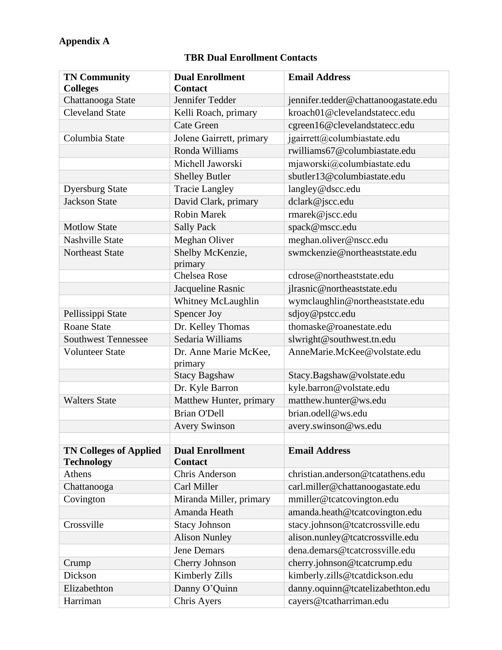## **Appendix A**

#### **TN Community Colleges Dual Enrollment Contact Email Address** Chattanooga State Jennifer Tedder [jennifer.tedder@chattanoogastate.edu](mailto:jennifer.tedder@chattanoogastate.edu) Cleveland State Kelli Roach, primary [kroach01@clevelandstatecc.edu](mailto:kroach01@clevelandstatecc.edu) Cate Green [cgreen16@clevelandstatecc.edu](mailto:cgreen16@clevelandstatecc.edu) Columbia State Jolene Gairrett, primary  $igairrett@columbiastate.edu$ Ronda Williams  $\vert$  rwilliams  $67@$  columbiastate.edu Michell Jaworski miaworski@columbiastate.edu Shelley Butler [sbutler13@columbiastate.edu](mailto:sbutler13@columbiastate.edu) Dyersburg State Tracie Langley and langley@dscc.edu Jackson State David Clark, primary dclark@jscc.edu Robin Marek [rmarek@jscc.edu](mailto:rmarek@jscc.edu) Motlow State Sally Pack Sally Pack Spack@mscc.edu Nashville State Meghan Oliver meghan.oliver@nscc.edu Northeast State Shelby McKenzie, primary [swmckenzie@northeaststate.edu](mailto:swmckenzie@northeaststate.edu) Chelsea Rose [cdrose@northeaststate.edu](mailto:cdrose@northeaststate.edu) Jacqueline Rasnic ilrasnic@northeaststate.edu Whitney McLaughlin [wymclaughlin@northeaststate.edu](mailto:wymclaughlin@northeaststate.edu) Pellissippi State Spencer Joy sdjoy@pstcc.edu Roane State **Dr.** Kelley Thomas htm homaske@roanestate.edu Southwest Tennessee Sedaria Williams [slwright@southwest.tn.edu](mailto:slwright@southwest.tn.edu) Volunteer State Dr. Anne Marie McKee, primary [AnneMarie.McKee@volstate.edu](mailto:AnneMarie.McKee@volstate.edu) Stacy Bagshaw [Stacy.Bagshaw@volstate.edu](mailto:Stacy.Bagshaw@volstate.edu) Dr. Kyle Barron [kyle.barron@volstate.edu](mailto:kyle.barron@volstate.edu) Walters State Matthew Hunter, primary matthew.hunter@ws.edu Brian O'Dell **[brian.odell@ws.edu](mailto:brian.odell@ws.edu)** Avery Swinson [avery.swinson@ws.edu](mailto:avery.swinson@ws.edu) **TN Colleges of Applied Technology Dual Enrollment Contact Email Address** Athens Chris Anderson christian.anderson @tcatathens.edu Chattanooga Carl Miller carl.miller@chattanoogastate.edu Covington Miranda Miller, primary mmiller@tcatcovington.edu Amanda Heath [amanda.heath@tcatcovington.edu](mailto:amanda.heath@tcatcovington.edu) Crossville Stacy Johnson [stacy.johnson@tcatcrossville.edu](mailto:stacy.johnson@tcatcrossville.edu) Alison Nunley [alison.nunley@tcatcrossville.edu](mailto:alison.nunley@tcatcrossville.edu) Jene Demars [dena.demars@tcatcrossville.edu](mailto:dena.demars@tcatcrossville.edu) Crump Cherry Johnson cherry.johnson@tcatcrump.edu Dickson Kimberly Zills [kimberly.zills@tcatdickson.edu](mailto:kimberly.zills@tcatdickson.edu) Elizabethton Danny O'Quinn danny.oquinn@tcatelizabethton.edu Harriman Chris Ayers cayers@tcatharriman.edu

#### **TBR Dual Enrollment Contacts**